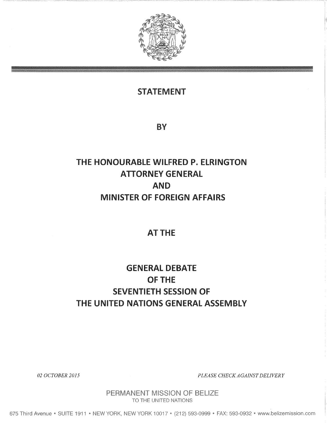

## STATEMENT

BY

# THE HONOURABLE WILFRED P. ELRINGTON ATTORNEY GENERAL AND MiNiSTER OF FOREIGN AFFAIRS

# ATTHE

# GENERAL DEBATE OF THE SEVENTIETH SESSION OF THE UNITED NATIONS GENERAL ASSEMBLY

02 OCTOBER 2015 PLEASE CHECK AGAINST DELIVERY

PERMANENT MISSION OF BELIZE TO THE UNITED NATIONS

675 Third Avenue . SUITE 1911 . NEW YORK, NEW YORK 10017 . (212) 593-0999 . FAX: 593-0932 . www.belizemission.com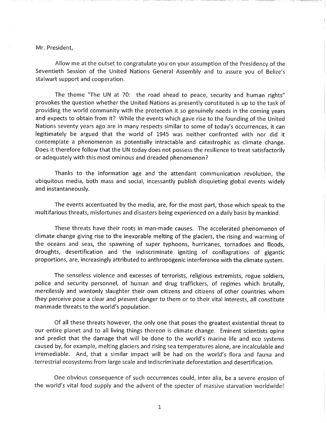## Mr. President,

Allow me at the outset to congratulate you on your assumption of the Presidency of the Seventieth Session of the United Nations General Assembly and to assure you of Belize's stalwart support and cooperation.

The theme "The UN at 70: the road ahead to peace, security and human rights" provokes the question whether the United Nations as presently constituted is up to the task of providing the world community with the protection it so genuinely needs in the coming years and expects to obtain from it? While the events which gave rise to the founding of the United Nations seventy years ago are in many respects similar to some of today's occurrences, it can legitimately be argued that the world of 1945 was neither confronted with nor did it contemplate a phenomenon as potentially intractable and catastrophic as climate change. Does it therefore follow that the UN today does not possess the resilience to treat satisfactorily or adequately with this most ominous and dreaded phenomenon?

Thanks to the information age and the attendant communication revolution, the ubiquitous media, both mass and social, incessantly publish disquieting global events widely and instantaneously.

The events accentuated by the media, are, for the most part, those which speak to the multifarious threats, misfortunes and disasters being experienced on a daily basis by mankind.

These threats have their roots in man-made causes. The accelerated phenomenon of climate change giving rise to the inexorable melting of the glaciers, the rising and warming of the oceans and seas, the spawning of super typhoons, hurricanes, tornadoes and floods, droughts, desertification and the indiscriminate igniting of conflagrations of gigantic proportions, are, increasingly attributed to anthropogenic interference with the climate system.

The senseless violence and excesses of terrorists, religious extremists, rogue soldiers, police and security personnel, of human and drug traffickers, of regimes which brutally, mercilessly and wantonly slaughter their own citizens and citizens of other countries whom they perceive pose a clear and present danger to them or to their vital interests, all constitute manmade threats to the world's population.

Of all these threats however, the only one that poses the greatest existential threat to our entire planet and to all living things thereon is climate change. Eminent scientists opine and predict that the damage that will be done to the world's marine life and eco systems caused by, for example, melting glaciers and rising sea temperatures alone, are incalculable and irremediable. And, that a similar impact will be had on the world's flora and fauna and terrestrial ecosystems from large scale and indiscriminate deforestation and desertification.

One obvious consequence of such occurrences could, inter alia, be a severe erosion of the world's vital food supply and the advent of the specter of massive starvation worldwide!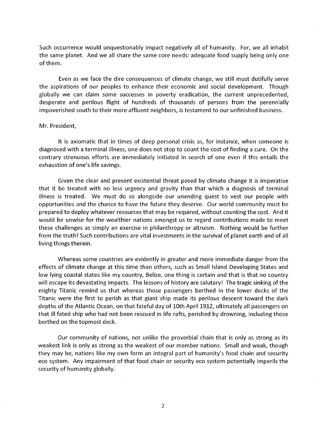Such occurrence would unquestionably impact negatively all of humanity. For, we all inhabit the same planet. And we all share the same core needs: adequate food supply being only one of them.

Even as we face the dire consequences of climate change, we still must dutifully serve the aspirations of our peoples to enhance their economic and social development. Though globally we can claim some successes in poverty eradication, the current unprecedented, desperate and perilous flight of hundreds of thousands of persons from the perennially impoverished south to their more affluent neighbors, is testament to our unfinished business.

#### Mr. President,

It is axiomatic that in times of deep personal crisis as, for instance, when someone is diagnosed with a terminal illness, one does not stop to count the cost of finding a cure. On the contrary strenuous efforts are immediately initiated in search of one even if this entails the exhaustion of one's life savings.

Given the clear and present existential threat posed by climate change it is imperative that it be treated with no less urgency and gravity than that which a diagnosis of terminal illness is treated. We must do so alongside our unending quest to vest our people with opportunities and the chance to have the future they deserve. Our world community must be prepared to deploy whatever resources that may be required, without counting the cost. And it would be unwise for the wealthier nations amongst us to regard contributions made to meet these challenges as simply an exercise in philanthropy or altruism. Nothing would be further from the truth! Such contributions are vital investments in the survival of planet earth and of all living things therein.

Whereas some countries are evidently in greater and more immediate danger from the effects of climate change at this time than others, such as Small Island Developing States and low lying coastal states like my country, Belize, one thing is certain and that is that no country will escape its devastating impacts. The lessons of history are salutary! The tragic sinking of the mighty Titanic remind us that whereas those passengers berthed in the lower decks of the Titanic were the first to perish as that giant ship made its perilous descent toward the dark depths of the Atlantic Ocean, on that fateful day of 10th April 1912, ultimately all passengers on that ill fated ship who had not been rescued in life rafts, perished by drowning, including those berthed on the topmost deck.

Our community of nations, not unlike the proverbial chain that is only as strong as its weakest link is only as strong as the weakest of our member nations. Small and weak, though they may be, nations like my own form an integral part of humanity's food chain and security eco system. Any impairment of that food chain or security eco system potentially imperils the security of humanity globally.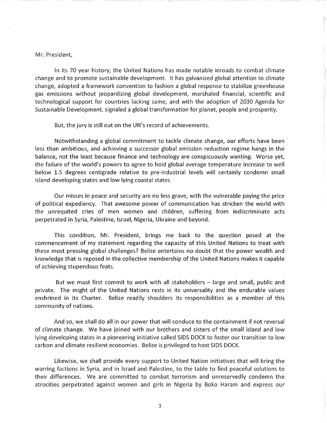Mr. President,

In its 70 year history, the United Nations has made notable inroads to combat climate change and to promote sustainable development. It has galvanized global attention to climate change, adopted a framework convention to fashion a global response to stabilize greenhouse gas emissions without jeopardizing global development, marshaled financial, scientific and technological support for countries lacking same, and with the adoption of 2030 Agenda for Sustainable Development, signaled a global transformation for planet, people and prosperity.

But, the jury is still out on the UN's record of achievements.

Notwithstanding a global commitment to tackle climate change, our efforts have been less than ambitious, and achieving a successor global emission reduction regime hangs in the balance, not the least because finance and technology are conspicuously wanting. Worse yet, the failure of the world's powers to agree to hold global average temperature increase to well below 1.5 degrees centigrade relative to pre-industrial levels will certainly condemn small island developing states and low lying coastal states.

Our misses in peace and security are no less grave, with the vulnerable paying the price of political expediency. That awesome power of communication has stricken the world with the unrequited cries of men women and children, suffering from indiscriminate acts perpetrated in Syria, Palestine, Israel, Nigeria, Ukraine and beyond.

This condition, Mr. President, brings me back to the question posed at the commencement of my statement regarding the capacity of this United Nations to treat with these most pressing global challenges? Belize entertains no doubt that the power wealth and knowledge that is reposed in the collective membership of the United Nations makes it capable of achieving stupendous feats.

But we must first commit to work with all stakeholders – large and small, public and private. The might of the United Nations rests in its universality and the endurable values enshrined in its Charter. Belize readily shoulders its responsibilities as a member of this community of nations.

And so, we shall do all in our power that will conduce to the containment if not reversal of climate change. We have joined with our brothers and sisters of the small island and low lying developing states in a pioneering initiative called SIDS DOCK to foster our transition to low carbon and climate resilient economies. Belize is privileged to host SIDS DOCK.

Likewise, we shall provide every support to United Nation initiatives that will bring the warring factions in Syria, and in Israel and Palestine, to the table to find peaceful solutions to their differences. We are committed to combat terrorism and unreservedly condemn the atrocities perpetrated against women and girls in Nigeria by Boko Haram and express our

3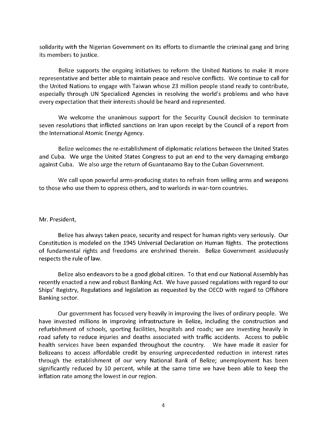solidarity with the Nigerian Government on its efforts to dismantle the criminal gang and bring its members to justice.

Belize supports the ongoing initiatives to reform the United Nations to make it more representative and better able to maintain peace and resolve conflicts. We continue to call for the United Nations to engage with Taiwan whose 23 million people stand ready to contribute, especially through UN Specialized Agencies in resolving the world's problems and who have every expectation that their interests should be heard and represented.

We welcome the unanimous support for the Security Council decision to terminate seven resolutions that inflicted sanctions on Iran upon receipt by the Council of a report from the International Atomic Energy Agency.

Belize welcomes the re-establishment of diplomatic relations between the United States and Cuba. We urge the United States Congress to put an end to the very damaging embargo against Cuba. We also urge the return of Guantanamo Bay to the Cuban Government.

We call upon powerful arms-producing states to refrain from selling arms and weapons to those who use them to oppress others, and to warlords in war-torn countries.

### Mr. President,

Belize has always taken peace, security and respect for human rights very seriously. Our Constitution is modeled on the i945 Universal Declaration on Human Rights. The protections of fundamental rights and freedoms are enshrined therein. Belize Government assiduously respects the rule of law.

Belize also endeavors to be a good global citizen. To that end our National Assembly has recently enacted a new and robust Banking Act. We have passed regulations with regard to our Ships' Registry, Regulations and legislation as requested by the OECD with regard to Offshore Banking sector.

Our government has focused very heavily in improving the lives of ordinary people. We have invested millions in improving infrastructure in Belize, including the construction and refurbishment of schools, sporting facilities, hospitals and roads; we are investing heavily in road safety to reduce injuries and deaths associated with traffic accidents. Access to public health services have been expanded throughout the country. We have made it easier for Belizeans to access affordable credit by ensuring unprecedented reduction in interest rates through the establishment of our very National Bank of Belize; unemployment has been significantly reduced by iO percent, while at the same time we have been able to keep the inflation rate among the lowest in our region.

4